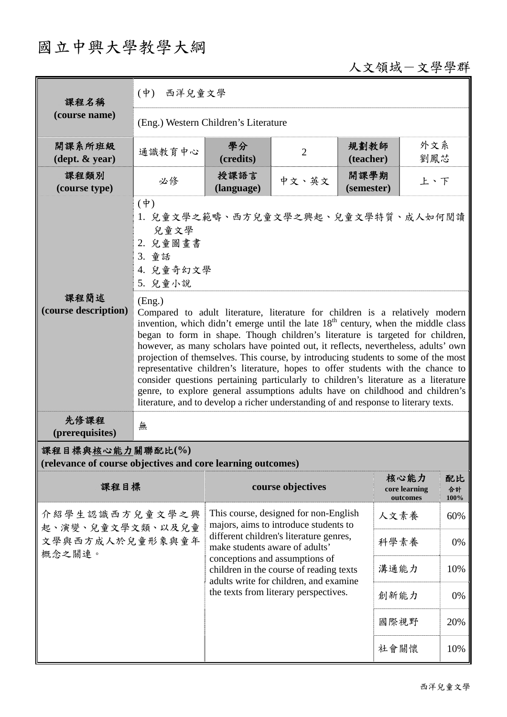# 國立中興大學教學大綱

# 人文領域-文學學群

| 課程名稱                                                                            | (中) 西洋兒童文學                                                                                                                                                                                                                                                                                                                                                                                                                                                                                                                                                                                                                                                                                                                                                                                                |                                                                                                                                                                                                  |                   |                    |                                   |                  |  |  |
|---------------------------------------------------------------------------------|-----------------------------------------------------------------------------------------------------------------------------------------------------------------------------------------------------------------------------------------------------------------------------------------------------------------------------------------------------------------------------------------------------------------------------------------------------------------------------------------------------------------------------------------------------------------------------------------------------------------------------------------------------------------------------------------------------------------------------------------------------------------------------------------------------------|--------------------------------------------------------------------------------------------------------------------------------------------------------------------------------------------------|-------------------|--------------------|-----------------------------------|------------------|--|--|
| (course name)                                                                   | (Eng.) Western Children's Literature                                                                                                                                                                                                                                                                                                                                                                                                                                                                                                                                                                                                                                                                                                                                                                      |                                                                                                                                                                                                  |                   |                    |                                   |                  |  |  |
| 開課系所班級<br>$(\text{dept.} \& \text{ year})$                                      | 通識教育中心                                                                                                                                                                                                                                                                                                                                                                                                                                                                                                                                                                                                                                                                                                                                                                                                    | 學分<br>(credits)                                                                                                                                                                                  | $\overline{2}$    | 規劃教師<br>(teacher)  | 外文系<br>劉鳳芯                        |                  |  |  |
| 課程類別<br>(course type)                                                           | 必修                                                                                                                                                                                                                                                                                                                                                                                                                                                                                                                                                                                                                                                                                                                                                                                                        | 授課語言<br>(language)                                                                                                                                                                               | 中文、英文             | 開課學期<br>(semester) | 上、下                               |                  |  |  |
|                                                                                 | $(\phi)$<br>1. 兒童文學之範疇、西方兒童文學之興起、兒童文學特質、成人如何閱讀<br>兒童文學<br>2. 兒童圖畫書<br>3. 童話<br>4. 兒童奇幻文學<br>5. 兒童小說                                                                                                                                                                                                                                                                                                                                                                                                                                                                                                                                                                                                                                                                                                       |                                                                                                                                                                                                  |                   |                    |                                   |                  |  |  |
| 課程簡述<br>(course description)                                                    | (Eng.)<br>Compared to adult literature, literature for children is a relatively modern<br>invention, which didn't emerge until the late 18 <sup>th</sup> century, when the middle class<br>began to form in shape. Though children's literature is targeted for children,<br>however, as many scholars have pointed out, it reflects, nevertheless, adults' own<br>projection of themselves. This course, by introducing students to some of the most<br>representative children's literature, hopes to offer students with the chance to<br>consider questions pertaining particularly to children's literature as a literature<br>genre, to explore general assumptions adults have on childhood and children's<br>literature, and to develop a richer understanding of and response to literary texts. |                                                                                                                                                                                                  |                   |                    |                                   |                  |  |  |
| 先修課程<br>(prerequisites)                                                         | 無                                                                                                                                                                                                                                                                                                                                                                                                                                                                                                                                                                                                                                                                                                                                                                                                         |                                                                                                                                                                                                  |                   |                    |                                   |                  |  |  |
| 課程目標與核心能力關聯配比(%)<br>(relevance of course objectives and core learning outcomes) |                                                                                                                                                                                                                                                                                                                                                                                                                                                                                                                                                                                                                                                                                                                                                                                                           |                                                                                                                                                                                                  |                   |                    |                                   |                  |  |  |
| 課程目標                                                                            |                                                                                                                                                                                                                                                                                                                                                                                                                                                                                                                                                                                                                                                                                                                                                                                                           |                                                                                                                                                                                                  | course objectives |                    | 核心能力<br>core learning<br>outcomes | 配比<br>合計<br>100% |  |  |
| 介紹學生認識西方兒童文學之興<br>起、演變、兒童文學文類、以及兒童<br>文學與西方成人於兒童形象與童年<br>概念之關連。                 |                                                                                                                                                                                                                                                                                                                                                                                                                                                                                                                                                                                                                                                                                                                                                                                                           | This course, designed for non-English<br>majors, aims to introduce students to                                                                                                                   |                   |                    | 人文素養                              | 60%              |  |  |
|                                                                                 |                                                                                                                                                                                                                                                                                                                                                                                                                                                                                                                                                                                                                                                                                                                                                                                                           | different children's literature genres,<br>make students aware of adults'<br>conceptions and assumptions of<br>children in the course of reading texts<br>adults write for children, and examine |                   |                    | 科學素養                              | 0%               |  |  |
|                                                                                 |                                                                                                                                                                                                                                                                                                                                                                                                                                                                                                                                                                                                                                                                                                                                                                                                           |                                                                                                                                                                                                  |                   |                    | 溝通能力                              | 10%              |  |  |
|                                                                                 |                                                                                                                                                                                                                                                                                                                                                                                                                                                                                                                                                                                                                                                                                                                                                                                                           | the texts from literary perspectives.                                                                                                                                                            |                   | 創新能力               | 0%                                |                  |  |  |
|                                                                                 |                                                                                                                                                                                                                                                                                                                                                                                                                                                                                                                                                                                                                                                                                                                                                                                                           |                                                                                                                                                                                                  |                   |                    | 國際視野                              | 20%              |  |  |
|                                                                                 |                                                                                                                                                                                                                                                                                                                                                                                                                                                                                                                                                                                                                                                                                                                                                                                                           |                                                                                                                                                                                                  |                   |                    | 社會關懷                              | 10%              |  |  |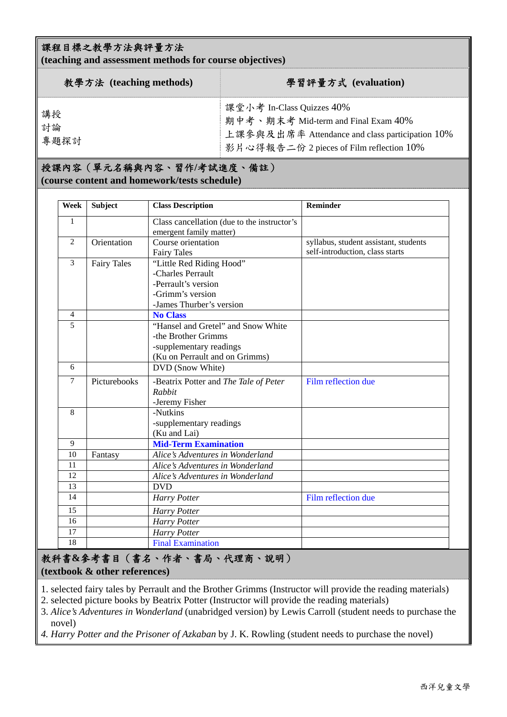#### 課程目標之教學方法與評量方法

**(teaching and assessment methods for course objectives)** 

| 教學方法 (teaching methods) | 學習評量方式 (evaluation)                                                                                                                                             |
|-------------------------|-----------------------------------------------------------------------------------------------------------------------------------------------------------------|
| 講授<br>討論<br>專題探討        | 課堂小考 In-Class Quizzes 40%<br>期中考、期末考 Mid-term and Final Exam 40%<br>上課參與及出席率 Attendance and class participation 10%<br>影片心得報告二份 2 pieces of Film reflection 10% |

#### 授課內容(單元名稱與內容、習作**/**考試進度、備註) **(course content and homework/tests schedule)**

| Week                    | <b>Subject</b> | <b>Class Description</b>                    | <b>Reminder</b>                       |
|-------------------------|----------------|---------------------------------------------|---------------------------------------|
| 1                       |                | Class cancellation (due to the instructor's |                                       |
|                         |                | emergent family matter)                     |                                       |
| 2                       | Orientation    | Course orientation                          | syllabus, student assistant, students |
|                         |                | <b>Fairy Tales</b>                          | self-introduction, class starts       |
| <b>Fairy Tales</b><br>3 |                | "Little Red Riding Hood"                    |                                       |
|                         |                | -Charles Perrault                           |                                       |
|                         |                | -Perrault's version                         |                                       |
|                         |                | -Grimm's version                            |                                       |
|                         |                | -James Thurber's version                    |                                       |
| $\overline{4}$          |                | <b>No Class</b>                             |                                       |
| 5                       |                | "Hansel and Gretel" and Snow White          |                                       |
|                         |                | -the Brother Grimms                         |                                       |
|                         |                | -supplementary readings                     |                                       |
|                         |                | (Ku on Perrault and on Grimms)              |                                       |
| 6                       |                | DVD (Snow White)                            |                                       |
| 7                       | Picturebooks   | -Beatrix Potter and The Tale of Peter       | Film reflection due                   |
|                         |                | Rabbit                                      |                                       |
|                         |                | -Jeremy Fisher                              |                                       |
| 8                       |                | -Nutkins                                    |                                       |
|                         |                | -supplementary readings                     |                                       |
|                         |                | (Ku and Lai)                                |                                       |
| 9                       |                | <b>Mid-Term Examination</b>                 |                                       |
| 10                      | Fantasy        | Alice's Adventures in Wonderland            |                                       |
| 11                      |                | Alice's Adventures in Wonderland            |                                       |
| 12                      |                | Alice's Adventures in Wonderland            |                                       |
| 13                      |                | <b>DVD</b>                                  |                                       |
| 14                      |                | Harry Potter                                | Film reflection due                   |
| 15                      |                | <b>Harry Potter</b>                         |                                       |
| 16                      |                | <b>Harry Potter</b>                         |                                       |
| 17                      |                | Harry Potter                                |                                       |
| 18                      |                | <b>Final Examination</b>                    |                                       |

#### 教科書**&**參考書目(書名、作者、書局、代理商、說明) **(textbook & other references)**

1. selected fairy tales by Perrault and the Brother Grimms (Instructor will provide the reading materials)

2. selected picture books by Beatrix Potter (Instructor will provide the reading materials)

3. *Alice's Adventures in Wonderland* (unabridged version) by Lewis Carroll (student needs to purchase the novel)

*4. Harry Potter and the Prisoner of Azkaban* by J. K. Rowling (student needs to purchase the novel)